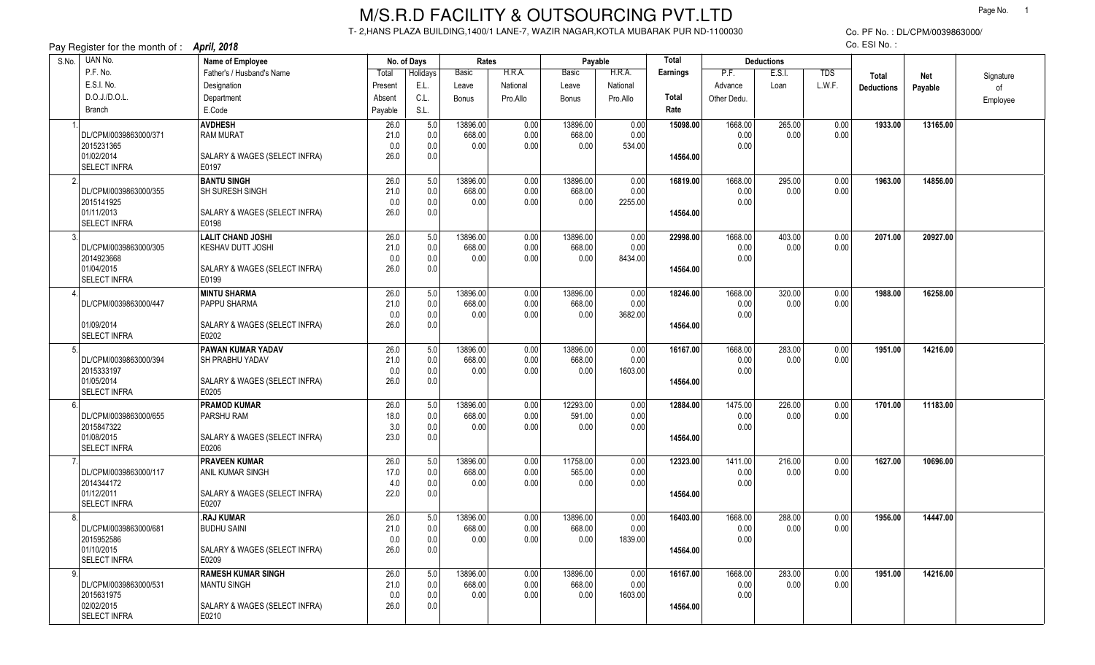## M/S.R.D FACILITY & OUTSOURCING PVT.LTD

T- 2,HANS PLAZA BUILDING,1400/1 LANE-7, WAZIR NAGAR,KOTLA MUBARAK PUR ND-1100030

Co. PF No. : DL/CPM/0039863000/Co. ESI No. :

| Pay Register for the month of : <b>April, 2018</b><br>CO. ESI NO. : |                                 |             |                 |                |              |                |                 |          |                   |        |            |                   |          |           |
|---------------------------------------------------------------------|---------------------------------|-------------|-----------------|----------------|--------------|----------------|-----------------|----------|-------------------|--------|------------|-------------------|----------|-----------|
| UAN No.<br>S.No.                                                    | Name of Employee<br>No. of Days |             |                 | Rates          |              | Payable        |                 | Total    | <b>Deductions</b> |        |            |                   |          |           |
| P.F. No.                                                            | Father's / Husband's Name       | Total       | <b>Holidays</b> | <b>Basic</b>   | H.R.A.       | Basic          | H.R.A.          | Earnings | P.F.              | E.S.I. | <b>TDS</b> | <b>Total</b>      | Net      | Signature |
| E.S.I. No.                                                          | Designation                     | Present     | E.L.            | Leave          | National     | Leave          | National        |          | Advance           | Loan   | L.W.F.     | <b>Deductions</b> | Payable  | of        |
| D.O.J./D.O.L.                                                       | Department                      | Absent      | C.L.            | <b>Bonus</b>   | Pro.Allo     | Bonus          | Pro.Allo        | Total    | Other Dedu.       |        |            |                   |          | Employee  |
| Branch                                                              | E.Code                          | Payable     | S.L.            |                |              |                |                 | Rate     |                   |        |            |                   |          |           |
|                                                                     | <b>AVDHESH</b>                  | 26.0        | 5.0             | 13896.00       | 0.00         | 13896.00       | 0.00            | 15098.00 | 1668.00           | 265.00 | 0.00       | 1933.00           | 13165.00 |           |
| DL/CPM/0039863000/371                                               | <b>RAM MURAT</b>                | 21.0        | 0.0             | 668.00         | 0.00         | 668.00         | 0.00            |          | 0.00              | 0.00   | 0.00       |                   |          |           |
| 2015231365                                                          |                                 | 0.0         | 0.0             | 0.00           | 0.00         | 0.00           | 534.00          |          | 0.00              |        |            |                   |          |           |
| 01/02/2014                                                          | SALARY & WAGES (SELECT INFRA)   | 26.0        | 0.0             |                |              |                |                 | 14564.00 |                   |        |            |                   |          |           |
| <b>SELECT INFRA</b>                                                 | E0197                           |             |                 |                |              |                |                 |          |                   |        |            |                   |          |           |
| $\mathfrak{D}$                                                      | <b>BANTU SINGH</b>              | 26.0        | 5.0             | 13896.00       | 0.00         | 13896.00       | 0.00            | 16819.00 | 1668.00           | 295.00 | 0.00       | 1963.00           | 14856.00 |           |
| DL/CPM/0039863000/355<br>2015141925                                 | <b>SH SURESH SINGH</b>          | 21.0        | 0.0<br>0.0      | 668.00<br>0.00 | 0.00<br>0.00 | 668.00<br>0.00 | 0.00<br>2255.00 |          | 0.00<br>0.00      | 0.00   | 0.00       |                   |          |           |
| 01/11/2013                                                          | SALARY & WAGES (SELECT INFRA)   | 0.0<br>26.0 | 0.0             |                |              |                |                 | 14564.00 |                   |        |            |                   |          |           |
| <b>SELECT INFRA</b>                                                 | E0198                           |             |                 |                |              |                |                 |          |                   |        |            |                   |          |           |
|                                                                     | <b>LALIT CHAND JOSHI</b>        | 26.0        | 5.0             | 13896.00       | 0.00         | 13896.00       | 0.00            | 22998.00 | 1668.00           | 403.00 | 0.00       | 2071.00           | 20927.00 |           |
| DL/CPM/0039863000/305                                               | KESHAV DUTT JOSHI               | 21.0        | 0.0             | 668.00         | 0.00         | 668.00         | 0.00            |          | 0.00              | 0.00   | 0.00       |                   |          |           |
| 2014923668                                                          |                                 | 0.0         | 0.0             | 0.00           | 0.00         | 0.00           | 8434.00         |          | 0.00              |        |            |                   |          |           |
| 01/04/2015                                                          | SALARY & WAGES (SELECT INFRA)   | 26.0        | 0.0             |                |              |                |                 | 14564.00 |                   |        |            |                   |          |           |
| SELECT INFRA                                                        | E0199                           |             |                 |                |              |                |                 |          |                   |        |            |                   |          |           |
|                                                                     | <b>MINTU SHARMA</b>             | 26.0        | 5.0             | 13896.00       | 0.00         | 13896.00       | 0.00            | 18246.00 | 1668.00           | 320.00 | 0.00       | 1988.00           | 16258.00 |           |
| DL/CPM/0039863000/447                                               | <b>PAPPU SHARMA</b>             | 21.0        | 0.0             | 668.00         | 0.00         | 668.00         | 0.00            |          | 0.00              | 0.00   | 0.00       |                   |          |           |
| 01/09/2014                                                          | SALARY & WAGES (SELECT INFRA)   | 0.0<br>26.0 | 0.0<br>0.0      | 0.00           | 0.00         | 0.00           | 3682.00         |          | 0.00              |        |            |                   |          |           |
| <b>SELECT INFRA</b>                                                 | E0202                           |             |                 |                |              |                |                 | 14564.00 |                   |        |            |                   |          |           |
|                                                                     | <b>PAWAN KUMAR YADAV</b>        | 26.0        | 5.0             | 13896.00       | 0.00         | 13896.00       | 0.00            | 16167.00 | 1668.00           | 283.00 | 0.00       | 1951.00           | 14216.00 |           |
| DL/CPM/0039863000/394                                               | SH PRABHU YADAV                 | 21.0        | 0.0             | 668.00         | 0.00         | 668.00         | 0.00            |          | 0.00              | 0.00   | 0.00       |                   |          |           |
| 2015333197                                                          |                                 | 0.0         | 0.0             | 0.00           | 0.00         | 0.00           | 1603.00         |          | 0.00              |        |            |                   |          |           |
| 01/05/2014                                                          | SALARY & WAGES (SELECT INFRA)   | 26.0        | 0.0             |                |              |                |                 | 14564.00 |                   |        |            |                   |          |           |
| <b>SELECT INFRA</b>                                                 | E0205                           |             |                 |                |              |                |                 |          |                   |        |            |                   |          |           |
|                                                                     | <b>PRAMOD KUMAR</b>             | 26.0        | 5.0             | 13896.00       | 0.00         | 12293.00       | 0.00            | 12884.00 | 1475.00           | 226.00 | 0.00       | 1701.00           | 11183.00 |           |
| DL/CPM/0039863000/655                                               | <b>PARSHU RAM</b>               | 18.0        | 0.0             | 668.00         | 0.00         | 591.00         | 0.00            |          | 0.00              | 0.00   | 0.00       |                   |          |           |
| 2015847322<br>01/08/2015                                            | SALARY & WAGES (SELECT INFRA)   | 3.0<br>23.0 | 0.0<br>0.0      | 0.00           | 0.00         | 0.00           | 0.00            | 14564.00 | 0.00              |        |            |                   |          |           |
| <b>SELECT INFRA</b>                                                 | E0206                           |             |                 |                |              |                |                 |          |                   |        |            |                   |          |           |
|                                                                     | <b>PRAVEEN KUMAR</b>            | 26.0        | 5.0             | 13896.00       | 0.00         | 11758.00       | 0.00            | 12323.00 | 1411.00           | 216.00 | 0.00       | 1627.00           | 10696.00 |           |
| DL/CPM/0039863000/117                                               | ANIL KUMAR SINGH                | 17.0        | 0.0             | 668.00         | 0.00         | 565.00         | 0.00            |          | 0.00              | 0.00   | 0.00       |                   |          |           |
| 2014344172                                                          |                                 | 4.0         | 0.0             | 0.00           | 0.00         | 0.00           | 0.00            |          | 0.00              |        |            |                   |          |           |
| 01/12/2011                                                          | SALARY & WAGES (SELECT INFRA)   | 22.0        | 0.0             |                |              |                |                 | 14564.00 |                   |        |            |                   |          |           |
| <b>SELECT INFRA</b>                                                 | E0207                           |             |                 |                |              |                |                 |          |                   |        |            |                   |          |           |
|                                                                     | .RAJ KUMAR                      | 26.0        | 5.0             | 13896.00       | 0.00         | 13896.00       | 0.00            | 16403.00 | 1668.00           | 288.00 | 0.00       | 1956.00           | 14447.00 |           |
| DL/CPM/0039863000/681                                               | <b>BUDHU SAINI</b>              | 21.0        | 0.0             | 668.00<br>0.00 | 0.00<br>0.00 | 668.00<br>0.00 | 0.00<br>1839.00 |          | 0.00<br>0.00      | 0.00   | 0.00       |                   |          |           |
| 2015952586<br>01/10/2015                                            | SALARY & WAGES (SELECT INFRA)   | 0.0<br>26.0 | 0.0<br>0.0      |                |              |                |                 | 14564.00 |                   |        |            |                   |          |           |
| <b>SELECT INFRA</b>                                                 | E0209                           |             |                 |                |              |                |                 |          |                   |        |            |                   |          |           |
| q                                                                   | <b>RAMESH KUMAR SINGH</b>       | 26.0        | 5.0             | 13896.00       | 0.00         | 13896.00       | 0.00            | 16167.00 | 1668.00           | 283.00 | 0.00       | 1951.00           | 14216.00 |           |
| DL/CPM/0039863000/531                                               | <b>MANTU SINGH</b>              | 21.0        | 0.0             | 668.00         | 0.00         | 668.00         | 0.00            |          | 0.00              | 0.00   | 0.00       |                   |          |           |
| 2015631975                                                          |                                 | 0.0         | 0.0             | 0.00           | 0.00         | 0.00           | 1603.00         |          | 0.00              |        |            |                   |          |           |
| 02/02/2015                                                          | SALARY & WAGES (SELECT INFRA)   | 26.0        | 0.0             |                |              |                |                 | 14564.00 |                   |        |            |                   |          |           |
| SELECT INFRA                                                        | E0210                           |             |                 |                |              |                |                 |          |                   |        |            |                   |          |           |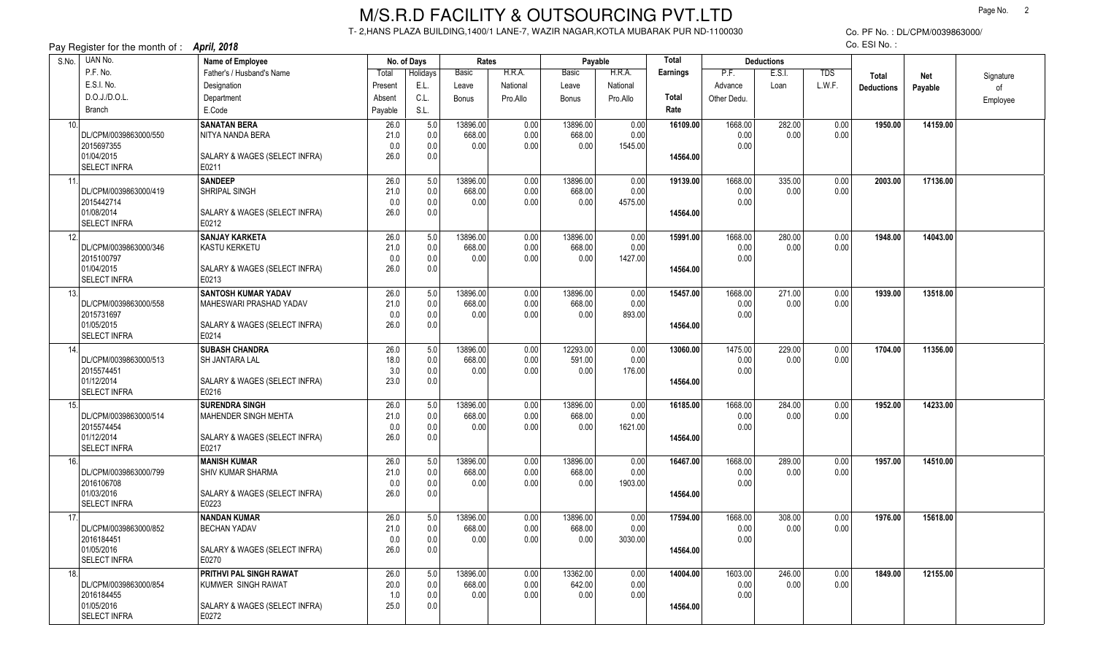## M/S.R.D FACILITY & OUTSOURCING PVT.LTD

T- 2,HANS PLAZA BUILDING,1400/1 LANE-7, WAZIR NAGAR,KOTLA MUBARAK PUR ND-1100030

Co. PF No. : DL/CPM/0039863000/Co. ESI No. :

| Pay Register for the month of : <b>April, 2018</b><br>CO. ESI NO. : |                                     |                                        |             |                         |                |              |                |                |          |              |                   |            |                   |          |           |
|---------------------------------------------------------------------|-------------------------------------|----------------------------------------|-------------|-------------------------|----------------|--------------|----------------|----------------|----------|--------------|-------------------|------------|-------------------|----------|-----------|
| S.No.                                                               | UAN No.                             | Name of Employee                       |             | Rates<br>No. of Days    |                |              | Payable        |                | Total    |              | <b>Deductions</b> |            |                   |          |           |
|                                                                     | P.F. No.                            | Father's / Husband's Name              | Total       | Holidays                | Basic          | H.R.A.       | Basic          | H.R.A.         | Earnings | P.F.         | E.S.I.            | <b>TDS</b> | <b>Total</b>      | Net      | Signature |
|                                                                     | E.S.I. No.                          | Designation                            | Present     | E.L.                    | Leave          | National     | Leave          | National       |          | Advance      | Loan              | L.W.F.     | <b>Deductions</b> | Payable  | of        |
|                                                                     | D.O.J./D.O.L.                       | Department                             | Absent      | C.L.                    | <b>Bonus</b>   | Pro.Allo     | <b>Bonus</b>   | Pro.Allo       | Total    | Other Dedu.  |                   |            |                   |          | Employee  |
|                                                                     | <b>Branch</b>                       | E.Code                                 | Payable     | S.L.                    |                |              |                |                | Rate     |              |                   |            |                   |          |           |
| 10.                                                                 |                                     | <b>SANATAN BERA</b>                    | 26.0        | 5.0                     | 13896.00       | 0.00         | 13896.00       | 0.00           | 16109.00 | 1668.00      | 282.00            | 0.00       | 1950.00           | 14159.00 |           |
|                                                                     | DL/CPM/0039863000/550               | NITYA NANDA BERA                       | 21.0        | 0.0                     | 668.00         | 0.00         | 668.00         | 0.00           |          | 0.00         | 0.00              | 0.00       |                   |          |           |
|                                                                     | 2015697355                          |                                        | 0.0         | 0.0                     | 0.00           | 0.00         | 0.00           | 1545.00        |          | 0.00         |                   |            |                   |          |           |
|                                                                     | 01/04/2015                          | SALARY & WAGES (SELECT INFRA)          | 26.0        | 0.0                     |                |              |                |                | 14564.00 |              |                   |            |                   |          |           |
|                                                                     | <b>SELECT INFRA</b>                 | E0211                                  |             |                         |                |              |                |                |          |              |                   |            |                   |          |           |
| 11.                                                                 |                                     | <b>SANDEEP</b>                         | 26.0        | 5.0                     | 13896.00       | 0.00         | 13896.00       | 0.00           | 19139.00 | 1668.00      | 335.00            | 0.00       | 2003.00           | 17136.00 |           |
|                                                                     | DL/CPM/0039863000/419               | SHRIPAL SINGH                          | 21.0        | 0.0                     | 668.00         | 0.00         | 668.00<br>0.00 | 0.00           |          | 0.00         | 0.00              | 0.00       |                   |          |           |
|                                                                     | 2015442714<br>01/08/2014            | SALARY & WAGES (SELECT INFRA)          | 0.0<br>26.0 | 0.0<br>0.0              | 0.00           | 0.00         |                | 4575.00        | 14564.00 | 0.00         |                   |            |                   |          |           |
|                                                                     | <b>SELECT INFRA</b>                 | E0212                                  |             |                         |                |              |                |                |          |              |                   |            |                   |          |           |
| 12.                                                                 |                                     | <b>SANJAY KARKETA</b>                  | 26.0        | 5.0                     | 13896.00       | 0.00         | 13896.00       | 0.00           | 15991.00 | 1668.00      | 280.00            | 0.00       | 1948.00           | 14043.00 |           |
|                                                                     | DL/CPM/0039863000/346               | KASTU KERKETU                          | 21.0        | 0.0                     | 668.00         | 0.00         | 668.00         | 0.00           |          | 0.00         | 0.00              | 0.00       |                   |          |           |
|                                                                     | 2015100797                          |                                        | 0.0         | 0.0                     | 0.00           | 0.00         | 0.00           | 1427.00        |          | 0.00         |                   |            |                   |          |           |
|                                                                     | 01/04/2015                          | SALARY & WAGES (SELECT INFRA)          | 26.0        | 0.0                     |                |              |                |                | 14564.00 |              |                   |            |                   |          |           |
|                                                                     | SELECT INFRA                        | E0213                                  |             |                         |                |              |                |                |          |              |                   |            |                   |          |           |
| 13.                                                                 |                                     | <b>SANTOSH KUMAR YADAV</b>             | 26.0        | 5.0                     | 13896.00       | 0.00         | 13896.00       | 0.00           | 15457.00 | 1668.00      | 271.00            | 0.00       | 1939.00           | 13518.00 |           |
|                                                                     | DL/CPM/0039863000/558               | MAHESWARI PRASHAD YADAV                | 21.0        | 0.0                     | 668.00         | 0.00         | 668.00         | 0.00           |          | 0.00         | 0.00              | 0.00       |                   |          |           |
|                                                                     | 2015731697                          |                                        | 0.0         | 0.0                     | 0.00           | 0.00         | 0.00           | 893.00         |          | 0.00         |                   |            |                   |          |           |
|                                                                     | 01/05/2015                          | SALARY & WAGES (SELECT INFRA)          | 26.0        | 0.0                     |                |              |                |                | 14564.00 |              |                   |            |                   |          |           |
|                                                                     | <b>SELECT INFRA</b>                 | E0214                                  |             |                         |                |              |                |                |          |              |                   |            |                   |          |           |
| 14.                                                                 |                                     | <b>SUBASH CHANDRA</b>                  | 26.0        | 5.0                     | 13896.00       | 0.00         | 12293.00       | 0.00           | 13060.00 | 1475.00      | 229.00            | 0.00       | 1704.00           | 11356.00 |           |
|                                                                     | DL/CPM/0039863000/513<br>2015574451 | SH JANTARA LAL                         | 18.0<br>3.0 | 0.0<br>0.0              | 668.00<br>0.00 | 0.00<br>0.00 | 591.00<br>0.00 | 0.00<br>176.00 |          | 0.00<br>0.00 | 0.00              | 0.00       |                   |          |           |
|                                                                     | 01/12/2014                          | SALARY & WAGES (SELECT INFRA)          | 23.0        | 0.0                     |                |              |                |                | 14564.00 |              |                   |            |                   |          |           |
|                                                                     | <b>SELECT INFRA</b>                 | E0216                                  |             |                         |                |              |                |                |          |              |                   |            |                   |          |           |
| 15.                                                                 |                                     | <b>SURENDRA SINGH</b>                  | 26.0        | 5.0                     | 13896.00       | 0.00         | 13896.00       | 0.00           | 16185.00 | 1668.00      | 284.00            | 0.00       | 1952.00           | 14233.00 |           |
|                                                                     | DL/CPM/0039863000/514               | MAHENDER SINGH MEHTA                   | 21.0        | 0.0                     | 668.00         | 0.00         | 668.00         | 0.00           |          | 0.00         | 0.00              | 0.00       |                   |          |           |
|                                                                     | 2015574454                          |                                        | 0.0         | 0.0                     | 0.00           | 0.00         | 0.00           | 1621.00        |          | 0.00         |                   |            |                   |          |           |
|                                                                     | 01/12/2014                          | SALARY & WAGES (SELECT INFRA)          | 26.0        | 0.0                     |                |              |                |                | 14564.00 |              |                   |            |                   |          |           |
|                                                                     | <b>SELECT INFRA</b>                 | E0217                                  |             |                         |                |              |                |                |          |              |                   |            |                   |          |           |
| 16.                                                                 |                                     | <b>MANISH KUMAR</b>                    | 26.0        | 5.0                     | 13896.00       | 0.00         | 13896.00       | 0.00           | 16467.00 | 1668.00      | 289.00            | 0.00       | 1957.00           | 14510.00 |           |
|                                                                     | DL/CPM/0039863000/799               | <b>SHIV KUMAR SHARMA</b>               | 21.0        | 0.0                     | 668.00         | 0.00         | 668.00         | 0.00           |          | 0.00         | 0.00              | 0.00       |                   |          |           |
|                                                                     | 2016106708<br>01/03/2016            |                                        | 0.0<br>26.0 | 0.0<br>0.0 <sub>1</sub> | 0.00           | 0.00         | 0.00           | 1903.00        | 14564.00 | 0.00         |                   |            |                   |          |           |
|                                                                     | <b>SELECT INFRA</b>                 | SALARY & WAGES (SELECT INFRA)<br>E0223 |             |                         |                |              |                |                |          |              |                   |            |                   |          |           |
| 17.                                                                 |                                     | <b>NANDAN KUMAR</b>                    | 26.0        | 5.0                     | 13896.00       | 0.00         | 13896.00       | 0.00           | 17594.00 | 1668.00      | 308.00            | 0.00       | 1976.00           | 15618.00 |           |
|                                                                     | DL/CPM/0039863000/852               | <b>BECHAN YADAV</b>                    | 21.0        | 0.0                     | 668.00         | 0.00         | 668.00         | 0.00           |          | 0.00         | 0.00              | 0.00       |                   |          |           |
|                                                                     | 2016184451                          |                                        | 0.0         | 0.0                     | 0.00           | 0.00         | 0.00           | 3030.00        |          | 0.00         |                   |            |                   |          |           |
|                                                                     | 01/05/2016                          | SALARY & WAGES (SELECT INFRA)          | 26.0        | 0.0                     |                |              |                |                | 14564.00 |              |                   |            |                   |          |           |
|                                                                     | <b>SELECT INFRA</b>                 | E0270                                  |             |                         |                |              |                |                |          |              |                   |            |                   |          |           |
| 18.                                                                 |                                     | PRITHVI PAL SINGH RAWAT                | 26.0        | 5.0                     | 13896.00       | 0.00         | 13362.00       | 0.00           | 14004.00 | 1603.00      | 246.00            | 0.00       | 1849.00           | 12155.00 |           |
|                                                                     | DL/CPM/0039863000/854               | KUMWER SINGH RAWAT                     | 20.0        | 0.0                     | 668.00         | 0.00         | 642.00         | 0.00           |          | 0.00         | 0.00              | 0.00       |                   |          |           |
|                                                                     | 2016184455<br>01/05/2016            |                                        | 1.0         | 0.0                     | 0.00           | 0.00         | 0.00           | 0.00           |          | 0.00         |                   |            |                   |          |           |
|                                                                     | <b>SELECT INFRA</b>                 | SALARY & WAGES (SELECT INFRA)<br>E0272 | 25.0        | 0.0                     |                |              |                |                | 14564.00 |              |                   |            |                   |          |           |
|                                                                     |                                     |                                        |             |                         |                |              |                |                |          |              |                   |            |                   |          |           |